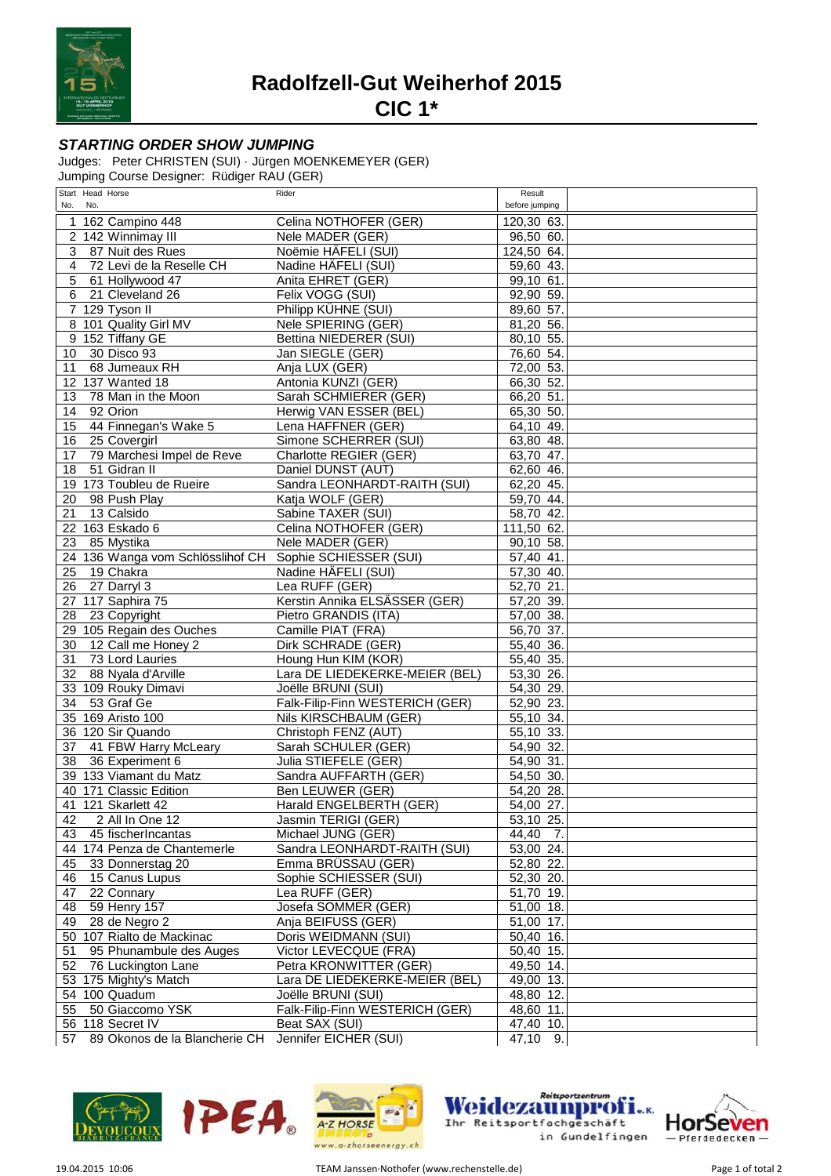

**Radolfzell-Gut Weiherhof 2015**

**CIC 1\***

## **STARTING ORDER SHOW JUMPING**

Judges: Peter CHRISTEN (SUI) · Jürgen MOENKEMEYER (GER) Jumping Course Designer: Rüdiger RAU (GER)

| Start Head Horse                           | Rider                           | Result         |  |
|--------------------------------------------|---------------------------------|----------------|--|
| No.<br>No.                                 |                                 | before jumping |  |
| 162 Campino 448                            | Celina NOTHOFER (GER)           | 120,30 63.     |  |
|                                            |                                 |                |  |
| 2 142 Winnimay III                         | Nele MADER (GER)                | 96,50 60.      |  |
| 3<br>87 Nuit des Rues                      | Noëmie HÄFELI (SUI)             | 124,50 64.     |  |
| 72 Levi de la Reselle CH<br>$\overline{4}$ | Nadine HÄFELI (SUI)             | 59,60 43.      |  |
| 61 Hollywood 47<br>5                       | Anita EHRET (GER)               | 99,10 61.      |  |
| 21 Cleveland 26<br>6                       | Felix VOGG (SUI)                | 92,90 59.      |  |
| 7 129 Tyson II                             | Philipp KÜHNE (SUI)             | 89,60 57.      |  |
| 8 101 Quality Girl MV                      | Nele SPIERING (GER)             | 81,20 56.      |  |
| 152 Tiffany GE<br>9                        | Bettina NIEDERER (SUI)          | 80,10 55.      |  |
|                                            |                                 |                |  |
| 30 Disco 93<br>10                          | Jan SIEGLE (GER)                | 76,60 54.      |  |
| 68 Jumeaux RH<br>11                        | Anja LUX (GER)                  | 72,00 53.      |  |
| 12 137 Wanted 18                           | Antonia KUNZI (GER)             | 66,30 52.      |  |
| 78 Man in the Moon<br>13                   | Sarah SCHMIERER (GER)           | 66,20 51.      |  |
| 14<br>92 Orion                             | Herwig VAN ESSER (BEL)          | 65,30 50.      |  |
| 44 Finnegan's Wake 5<br>15                 | Lena HAFFNER (GER)              | 64,10 49.      |  |
| 25 Covergirl<br>16                         | Simone SCHERRER (SUI)           | 63,80 48.      |  |
| 17<br>79 Marchesi Impel de Reve            | Charlotte REGIER (GER)          | 63,70 47.      |  |
|                                            |                                 |                |  |
| 51 Gidran II<br>18                         | Daniel DUNST (AUT)              | 62,60 46.      |  |
| 19 173 Toubleu de Rueire                   | Sandra LEONHARDT-RAITH (SUI)    | 62,20 45.      |  |
| 98 Push Play<br>20                         | Katja WOLF (GER)                | 59,70 44.      |  |
| 21<br>13 Calsido                           | Sabine TAXER (SUI)              | 58,70 42.      |  |
| 22 163 Eskado 6                            | Celina NOTHOFER (GER)           | 111,50 62.     |  |
| 23<br>85 Mystika                           | Nele MADER (GER)                | 90,10 58.      |  |
| 24 136 Wanga vom Schlösslihof CH           | Sophie SCHIESSER (SUI)          | 57,40 41.      |  |
| 25<br>19 Chakra                            | Nadine HÄFELI (SUI)             | 57,30 40.      |  |
|                                            |                                 |                |  |
| 27 Darryl 3<br>26                          | Lea RUFF (GER)                  | 52,70 21.      |  |
| 27<br>117 Saphira 75                       | Kerstin Annika ELSÄSSER (GER)   | 57,20 39.      |  |
| 23 Copyright<br>28                         | Pietro GRANDIS (ITA)            | 57,00 38.      |  |
| 29 105 Regain des Ouches                   | Camille PIAT (FRA)              | 56,70 37.      |  |
| 12 Call me Honey 2<br>30                   | Dirk SCHRADE (GER)              | 55,40 36.      |  |
| 73 Lord Lauries<br>31                      | Houng Hun KIM (KOR)             | 55,40 35.      |  |
| 88 Nyala d'Arville<br>32                   | Lara DE LIEDEKERKE-MEIER (BEL)  | 53,30 26.      |  |
| 33 109 Rouky Dimavi                        | Joëlle BRUNI (SUI)              | 54,30 29.      |  |
| 53 Graf Ge<br>34                           | Falk-Filip-Finn WESTERICH (GER) | 52,90 23.      |  |
|                                            |                                 |                |  |
| 35 169 Aristo 100                          | Nils KIRSCHBAUM (GER)           | 55,10 34.      |  |
| 36 120 Sir Quando                          | Christoph FENZ (AUT)            | 55,10 33.      |  |
| 41 FBW Harry McLeary<br>37                 | Sarah SCHULER (GER)             | 54,90 32.      |  |
| 36 Experiment 6<br>38                      | Julia STIEFELE (GER)            | 54,90 31.      |  |
| 39 133 Viamant du Matz                     | Sandra AUFFARTH (GER)           | 54,50 30.      |  |
| 40 171 Classic Edition                     | Ben LEUWER (GER)                | 54,20 28.      |  |
| 41 121 Skarlett 42                         | Harald ENGELBERTH (GER)         | 54,00 27.      |  |
| 2 All In One 12<br>42                      | Jasmin TERIGI (GER)             | 53,10 25.      |  |
|                                            |                                 |                |  |
| 45 fischerIncantas<br>43                   | Michael JUNG (GER)              | 44,40 7.       |  |
| 44 174 Penza de Chantemerle                | Sandra LEONHARDT-RAITH (SUI)    | 53,00 24.      |  |
| 33 Donnerstag 20<br>45                     | Emma BRÜSSAU (GER)              | 52,80 22.      |  |
| 15 Canus Lupus<br>46                       | Sophie SCHIESSER (SUI)          | 52,30 20.      |  |
| 22 Connary<br>47                           | Lea RUFF (GER)                  | 51,70 19.      |  |
| 59 Henry 157<br>48                         | Josefa SOMMER (GER)             | 51,00 18.      |  |
| 28 de Negro 2<br>49                        | Anja BEIFUSS (GER)              | 51,00 17.      |  |
| 50 107 Rialto de Mackinac                  | Doris WEIDMANN (SUI)            | 50,40 16.      |  |
|                                            | Victor LEVECQUE (FRA)           |                |  |
| 95 Phunambule des Auges<br>51              |                                 | 50,40 15.      |  |
| 52<br>76 Luckington Lane                   | Petra KRONWITTER (GER)          | 49,50 14.      |  |
| 53 175 Mighty's Match                      | Lara DE LIEDEKERKE-MEIER (BEL)  | 49,00 13.      |  |
| 54 100 Quadum                              | Joëlle BRUNI (SUI)              | 48,80 $12.$    |  |
| 50 Giaccomo YSK<br>55                      | Falk-Filip-Finn WESTERICH (GER) | 48,60 11.      |  |
| 56 118 Secret IV                           | Beat SAX (SUI)                  | 47,40 10.      |  |
| 89 Okonos de la Blancherie CH<br>57        | Jennifer EICHER (SUI)           | 47,10 9.       |  |